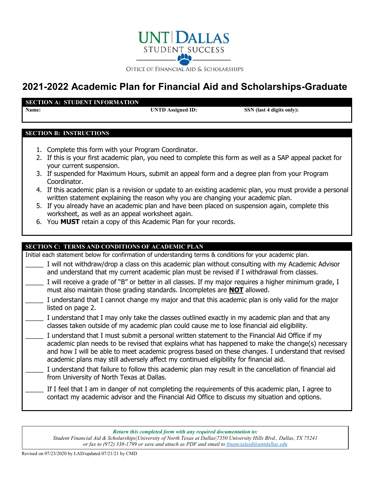

# **2021-2022 Academic Plan for Financial Aid and Scholarships-Graduate**

#### **SECTION A: STUDENT INFORMATION**

**Name: UNTD Assigned ID:** SSN (last 4 digits only):

### **SECTION B: INSTRUCTIONS**

- 1. Complete this form with your Program Coordinator.
- 2. If this is your first academic plan, you need to complete this form as well as a SAP appeal packet for your current suspension.
- 3. If suspended for Maximum Hours, submit an appeal form and a degree plan from your Program Coordinator.
- 4. If this academic plan is a revision or update to an existing academic plan, you must provide a personal written statement explaining the reason why you are changing your academic plan.
- 5. If you already have an academic plan and have been placed on suspension again, complete this worksheet, as well as an appeal worksheet again.
- 6. You **MUST** retain a copy of this Academic Plan for your records.

## **SECTION C: TERMS AND CONDITIONS OF ACADEMIC PLAN** Initial each statement below for confirmation of understanding terms & conditions for your academic plan. I will not withdraw/drop a class on this academic plan without consulting with my Academic Advisor and understand that my current academic plan must be revised if I withdrawal from classes. I will receive a grade of "B" or better in all classes. If my major requires a higher minimum grade, I must also maintain those grading standards. Incompletes are **NOT** allowed. I understand that I cannot change my major and that this academic plan is only valid for the major listed on page 2. I understand that I may only take the classes outlined exactly in my academic plan and that any classes taken outside of my academic plan could cause me to lose financial aid eligibility. I understand that I must submit a personal written statement to the Financial Aid Office if my academic plan needs to be revised that explains what has happened to make the change(s) necessary and how I will be able to meet academic progress based on these changes. I understand that revised academic plans may still adversely affect my continued eligibility for financial aid. I understand that failure to follow this academic plan may result in the cancellation of financial aid from University of North Texas at Dallas. If I feel that I am in danger of not completing the requirements of this academic plan, I agree to contact my academic advisor and the Financial Aid Office to discuss my situation and options.

*Return this completed form with any required documentation to:*

*Student Financial Aid & Scholarships|University of North Texas at Dallas|7350 University Hills Blvd., Dallas, TX 75241 or fax to (972) 338-1799 or save and attach as PDF and email to [financialaid@untdallas.edu](mailto:financialaid@untdallas.edu)*